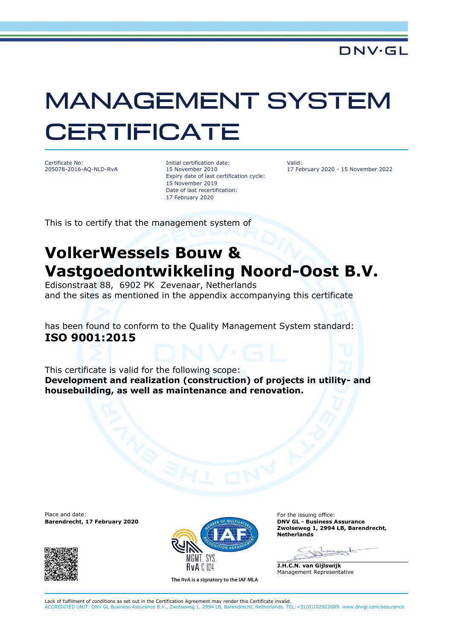## **MANAGEMENT SYSTEM CERTIFICATE**

Certificate No: 205078-2016-AQ-NLD-RvA Initial certification date: 15 November 2010 Expiry date of last certification cycle: 15 November 2019 Date of last recertification: 17 February 2020

Valid: 17 February 2020 - 15 November 2022

This is to certify that the management system of

## **VolkerWessels Bouw & Vastgoedontwikkeling Noord-Oost B.V.**

Edisonstraat 88, 6902 PK Zevenaar, Netherlands and the sites as mentioned in the appendix accompanying this certificate

has been found to conform to the Quality Management System standard: **ISO 9001:2015**

This certificate is valid for the following scope: **Development and realization (construction) of projects in utility- and housebuilding, as well as maintenance and renovation.**

Place and date:<br> **Barendrecht, 17 February 2020 Contribution of the issuing office:**<br> **Barendrecht, 17 February 2020 Contribution of the issuing of the issuing office: Barendrecht, 17 February 2020** 





The RvA is a signatory to the IAF MLA

**Zwolseweg 1, 2994 LB, Barendrecht, Netherlands**

**J.H.C.N. van Gijlswijk** Management Representative

Lack of fulfilment of conditions as set out in the Certification Agreement may render this Certificate invalid. ACCREDITED UNIT: DNV GL Business Assurance B.V., Zwolseweg 1, 2994 LB, Barendrecht, Netherlands. TEL:+31(0)102922689. www.dnvgl.com/assurance